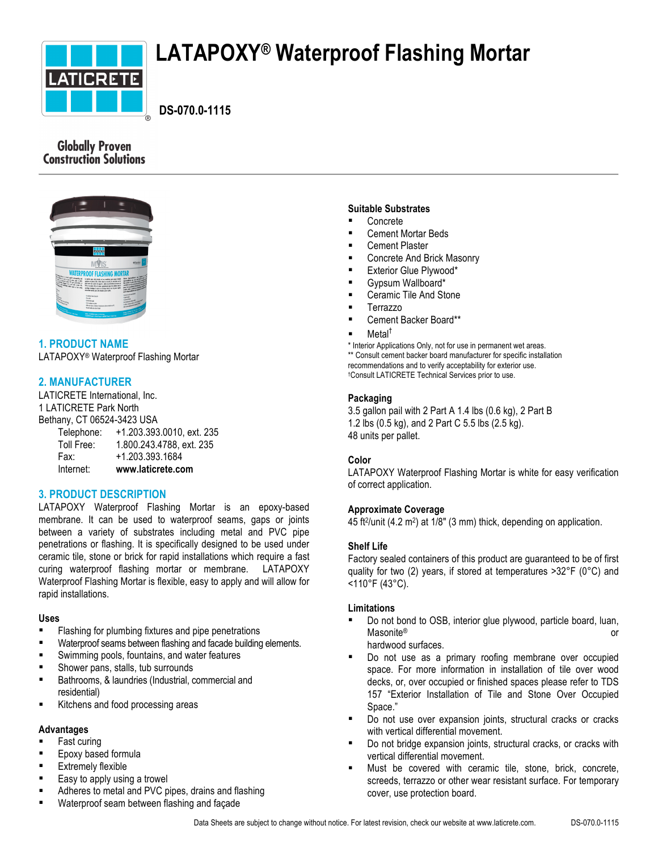

# **LATAPOXY® Waterproof Flashing Mortar**

 **DS-070.0-1115**

# **Globally Proven Construction Solutions**



# **1. PRODUCT NAME**

LATAPOXY® Waterproof Flashing Mortar

# **2. MANUFACTURER**

LATICRETE International, Inc. 1 LATICRETE Park North Bethany, CT 06524-3423 USA

Telephone: +1.203.393.0010, ext. 235 Toll Free: 1.800.243.4788, ext. 235 Fax: +1.203.393.1684 Internet: **www.laticrete.com**

# **3. PRODUCT DESCRIPTION**

LATAPOXY Waterproof Flashing Mortar is an epoxy-based membrane. It can be used to waterproof seams, gaps or joints between a variety of substrates including metal and PVC pipe penetrations or flashing. It is specifically designed to be used under ceramic tile, stone or brick for rapid installations which require a fast curing waterproof flashing mortar or membrane. LATAPOXY Waterproof Flashing Mortar is flexible, easy to apply and will allow for rapid installations.

# **Uses**

- Flashing for plumbing fixtures and pipe penetrations
- Waterproof seams between flashing and facade building elements.
- Swimming pools, fountains, and water features
- § Shower pans, stalls, tub surrounds
- Bathrooms, & laundries (Industrial, commercial and residential)
- Kitchens and food processing areas

# **Advantages**

- § Fast curing
- **Epoxy based formula**
- **Extremely flexible**
- Easy to apply using a trowel
- Adheres to metal and PVC pipes, drains and flashing
- § Waterproof seam between flashing and façade

## **Suitable Substrates**

- § Concrete
- § Cement Mortar Beds
- § Cement Plaster
- § Concrete And Brick Masonry
- Exterior Glue Plywood\*
- § Gypsum Wallboard\*
- § Ceramic Tile And Stone
- § Terrazzo
- Cement Backer Board\*\*

## Metal<sup>†</sup>

\* Interior Applications Only, not for use in permanent wet areas. \*\* Consult cement backer board manufacturer for specific installation recommendations and to verify acceptability for exterior use. †Consult LATICRETE Technical Services prior to use.

# **Packaging**

3.5 gallon pail with 2 Part A 1.4 lbs (0.6 kg), 2 Part B 1.2 lbs (0.5 kg), and 2 Part C 5.5 lbs (2.5 kg). 48 units per pallet.

# **Color**

LATAPOXY Waterproof Flashing Mortar is white for easy verification of correct application.

# **Approximate Coverage**

45 ft<sup>2</sup>/unit (4.2 m<sup>2</sup>) at  $1/8$ " (3 mm) thick, depending on application.

# **Shelf Life**

Factory sealed containers of this product are guaranteed to be of first quality for two (2) years, if stored at temperatures >32°F (0°C) and <110°F (43°C).

# **Limitations**

- Do not bond to OSB, interior glue plywood, particle board, luan, Masonite® or hardwood surfaces.
- Do not use as a primary roofing membrane over occupied space. For more information in installation of tile over wood decks, or, over occupied or finished spaces please refer to TDS 157 "Exterior Installation of Tile and Stone Over Occupied Space."
- Do not use over expansion joints, structural cracks or cracks with vertical differential movement.
- Do not bridge expansion joints, structural cracks, or cracks with vertical differential movement.
- Must be covered with ceramic tile, stone, brick, concrete, screeds, terrazzo or other wear resistant surface. For temporary cover, use protection board.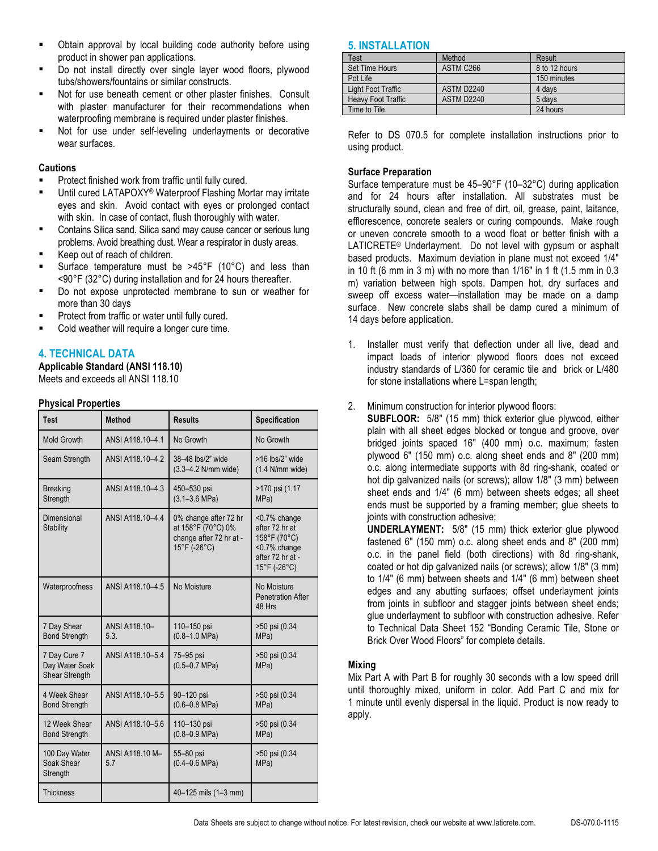- Obtain approval by local building code authority before using product in shower pan applications.
- § Do not install directly over single layer wood floors, plywood tubs/showers/fountains or similar constructs.
- Not for use beneath cement or other plaster finishes. Consult with plaster manufacturer for their recommendations when waterproofing membrane is required under plaster finishes.
- Not for use under self-leveling underlayments or decorative wear surfaces.

# **Cautions**

- Protect finished work from traffic until fully cured.
- Until cured LATAPOXY® Waterproof Flashing Mortar may irritate eyes and skin. Avoid contact with eyes or prolonged contact with skin. In case of contact, flush thoroughly with water.
- Contains Silica sand. Silica sand may cause cancer or serious lung problems. Avoid breathing dust. Wear a respirator in dusty areas.
- Keep out of reach of children.
- Surface temperature must be >45°F (10°C) and less than <90°F (32°C) during installation and for 24 hours thereafter.
- § Do not expose unprotected membrane to sun or weather for more than 30 days
- Protect from traffic or water until fully cured.
- Cold weather will require a longer cure time.

# **4. TECHNICAL DATA**

**Applicable Standard (ANSI 118.10)** Meets and exceeds all ANSI 118.10

# **Physical Properties**

| <b>Test</b>                                      | <b>Method</b>          | <b>Results</b>                                                                         | <b>Specification</b>                                                                               |
|--------------------------------------------------|------------------------|----------------------------------------------------------------------------------------|----------------------------------------------------------------------------------------------------|
| <b>Mold Growth</b>                               | ANSI A118.10-4.1       | No Growth                                                                              | No Growth                                                                                          |
| Seam Strength                                    | ANSI A118.10-4.2       | 38-48 lbs/2" wide<br>(3.3-4.2 N/mm wide)                                               | $>16$ lbs/2" wide<br>$(1.4$ N/mm wide)                                                             |
| <b>Breaking</b><br>Strength                      | ANSI A118.10-4.3       | 450-530 psi<br>$(3.1 - 3.6 \text{ MPa})$                                               | >170 psi (1.17<br>MPa)                                                                             |
| Dimensional<br><b>Stability</b>                  | ANSI A118.10-4.4       | 0% change after 72 hr<br>at 158°F (70°C) 0%<br>change after 72 hr at -<br>15°F (-26°C) | <0.7% change<br>after 72 hr at<br>158°F (70°C)<br><0.7% change<br>after 72 hr at -<br>15°F (-26°C) |
| Waterproofness                                   | ANSI A118 10-4.5       | No Moisture                                                                            | No Moisture<br><b>Penetration After</b><br>48 Hrs                                                  |
| 7 Day Shear<br><b>Bond Strength</b>              | ANSI A118.10-<br>5.3.  | 110-150 psi<br>$(0.8 - 1.0$ MPa)                                                       | >50 psi (0.34<br>MPa)                                                                              |
| 7 Day Cure 7<br>Day Water Soak<br>Shear Strength | ANSI A118.10-5.4       | 75-95 psi<br>$(0.5 - 0.7 \text{ MPa})$                                                 | >50 psi (0.34<br>MPa)                                                                              |
| 4 Week Shear<br><b>Bond Strength</b>             | ANSI A118.10-5.5       | 90-120 psi<br>$(0.6 - 0.8$ MPa)                                                        | >50 psi (0.34<br>MPa)                                                                              |
| 12 Week Shear<br><b>Bond Strength</b>            | ANSI A118.10-5.6       | 110-130 psi<br>$(0.8 - 0.9$ MPa)                                                       | >50 psi (0.34<br>MPa)                                                                              |
| 100 Day Water<br>Soak Shear<br>Strength          | ANSI A118.10 M-<br>5.7 | 55-80 psi<br>$(0.4 - 0.6 \text{ MPa})$                                                 | >50 psi (0.34<br>MPa)                                                                              |
| <b>Thickness</b>                                 |                        | 40-125 mils (1-3 mm)                                                                   |                                                                                                    |

# **5. INSTALLATION**

| Test                      | Method     | Result        |
|---------------------------|------------|---------------|
| Set Time Hours            | ASTM C266  | 8 to 12 hours |
| Pot Life                  |            | 150 minutes   |
| Light Foot Traffic        | ASTM D2240 | 4 days        |
| <b>Heavy Foot Traffic</b> | ASTM D2240 | 5 days        |
| Time to Tile              |            | 24 hours      |

Refer to DS 070.5 for complete installation instructions prior to using product.

# **Surface Preparation**

Surface temperature must be 45–90°F (10–32°C) during application and for 24 hours after installation. All substrates must be structurally sound, clean and free of dirt, oil, grease, paint, laitance, efflorescence, concrete sealers or curing compounds. Make rough or uneven concrete smooth to a wood float or better finish with a LATICRETE<sup>®</sup> Underlayment. Do not level with gypsum or asphalt based products. Maximum deviation in plane must not exceed 1/4" in 10 ft (6 mm in 3 m) with no more than 1/16" in 1 ft (1.5 mm in 0.3 m) variation between high spots. Dampen hot, dry surfaces and sweep off excess water—installation may be made on a damp surface. New concrete slabs shall be damp cured a minimum of 14 days before application.

- 1. Installer must verify that deflection under all live, dead and impact loads of interior plywood floors does not exceed industry standards of L/360 for ceramic tile and brick or L/480 for stone installations where L=span length;
- 2. Minimum construction for interior plywood floors:

**SUBFLOOR:** 5/8" (15 mm) thick exterior glue plywood, either plain with all sheet edges blocked or tongue and groove, over bridged joints spaced 16" (400 mm) o.c. maximum; fasten plywood 6" (150 mm) o.c. along sheet ends and 8" (200 mm) o.c. along intermediate supports with 8d ring-shank, coated or hot dip galvanized nails (or screws); allow 1/8" (3 mm) between sheet ends and 1/4" (6 mm) between sheets edges; all sheet ends must be supported by a framing member; glue sheets to joints with construction adhesive:

**UNDERLAYMENT:** 5/8" (15 mm) thick exterior glue plywood fastened 6" (150 mm) o.c. along sheet ends and 8" (200 mm) o.c. in the panel field (both directions) with 8d ring-shank, coated or hot dip galvanized nails (or screws); allow 1/8" (3 mm) to 1/4" (6 mm) between sheets and 1/4" (6 mm) between sheet edges and any abutting surfaces; offset underlayment joints from joints in subfloor and stagger joints between sheet ends; glue underlayment to subfloor with construction adhesive. Refer to Technical Data Sheet 152 "Bonding Ceramic Tile, Stone or Brick Over Wood Floors" for complete details.

# **Mixing**

Mix Part A with Part B for roughly 30 seconds with a low speed drill until thoroughly mixed, uniform in color. Add Part C and mix for 1 minute until evenly dispersal in the liquid. Product is now ready to apply.